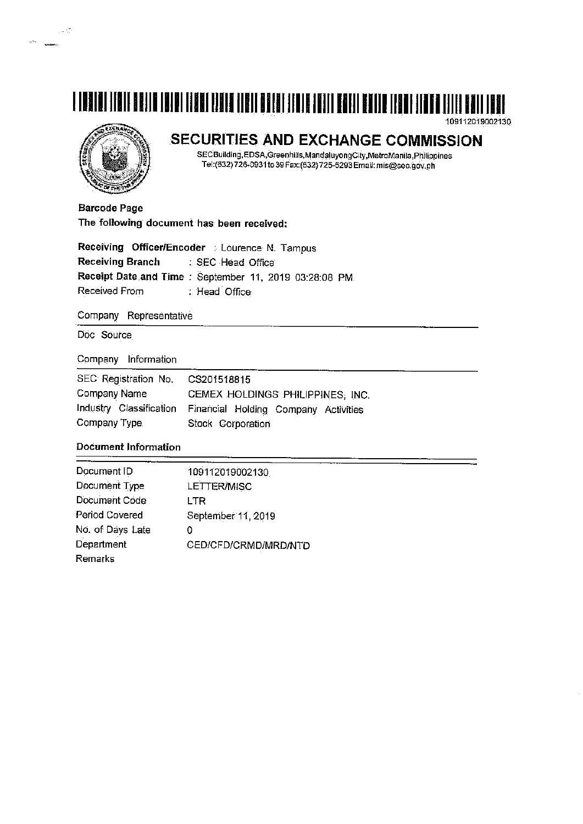# N IN AND I TEATHER THE THE THE THE THEIR AND THE TEATHER TEATHER THE TEATHER THE THEIR THEIR THEIR THEIR THE T

109112019002130

in de

 $\langle \hat{\psi}^{\lambda_{\infty}} \rangle$  . The mass of  $\hat{\psi}$ 

## SECURITIES AND EXCHANGE COMMISSION

SECBuilding, EDSA, Greenhills, Mandaluyong City, MetroManila, Philippines<br>Tel: (632) 726-0931 to 39 Fax: (632) 725-5293 Email: mis@sec.gov.ph

**Barcode Page** The following document has been received:

|                  | Receiving Officer/Encoder : Lourence N. Tampus        |
|------------------|-------------------------------------------------------|
| Receiving Branch | : SEC Head Office                                     |
|                  | Receipt Date and Time: September 11, 2019 03:28:08 PM |
| Received From    | : Head Office                                         |

Company Representative

Doc Source

Company Information

| SEC Registration No. CS201518815 |                                                              |  |  |  |  |  |  |  |  |  |
|----------------------------------|--------------------------------------------------------------|--|--|--|--|--|--|--|--|--|
| Company Name                     | CEMEX HOLDINGS PHILIPPINES, INC.                             |  |  |  |  |  |  |  |  |  |
|                                  | Industry Classification Financial Holding Company Activities |  |  |  |  |  |  |  |  |  |
| Company Type.                    | Stock Corporation                                            |  |  |  |  |  |  |  |  |  |

### **Document Information**

| Document ID      | 109112019002130      |
|------------------|----------------------|
| Document Type    | LETTER/MISC          |
| Document Code    | LTR                  |
| Period Covered   | September 11, 2019   |
| No. of Days Late | 0                    |
| Department       | CED/CFD/CRMD/MRD/NTD |
| Remarks          |                      |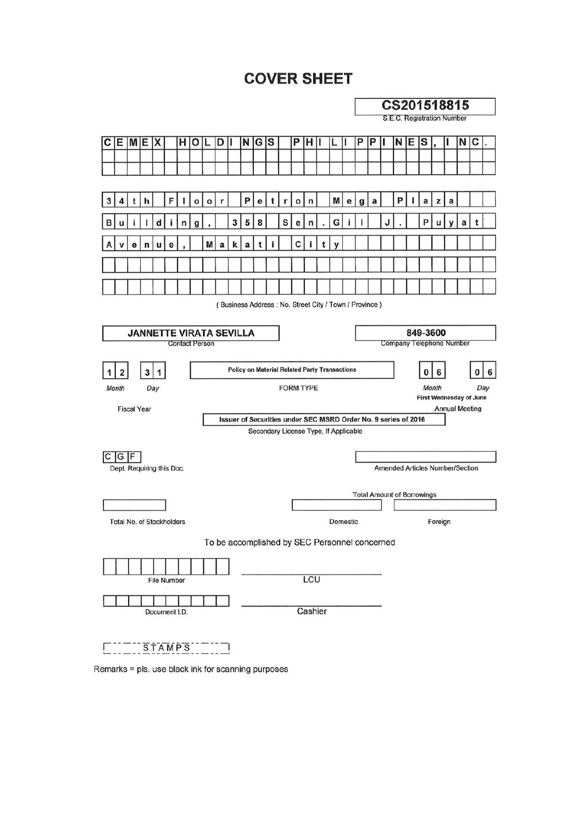# **COVER SHEET**

|                                                       |                          |                                                                                                |                           |   |               |   |                       |   |   |   |                                                                |          |    |   |   |   |            |                                       |   | CS201518815                |          |  |                                   |                                                         |   |   |   |                                        |   |  |  |
|-------------------------------------------------------|--------------------------|------------------------------------------------------------------------------------------------|---------------------------|---|---------------|---|-----------------------|---|---|---|----------------------------------------------------------------|----------|----|---|---|---|------------|---------------------------------------|---|----------------------------|----------|--|-----------------------------------|---------------------------------------------------------|---|---|---|----------------------------------------|---|--|--|
|                                                       |                          |                                                                                                |                           |   |               |   |                       |   |   |   |                                                                |          |    |   |   |   |            |                                       |   | S.E.C. Registration Number |          |  |                                   |                                                         |   |   |   |                                        |   |  |  |
| c                                                     | Ε                        | MIE                                                                                            |                           | х |               | н | O                     |   | D |   | N                                                              | G        | lS |   | P | н |            |                                       |   | Ρ                          | P        |  | N                                 | Е                                                       | S |   |   | N                                      | С |  |  |
|                                                       |                          |                                                                                                |                           |   |               |   |                       |   |   |   |                                                                |          |    |   |   |   |            |                                       |   |                            |          |  |                                   |                                                         |   |   |   |                                        |   |  |  |
|                                                       |                          |                                                                                                |                           |   |               |   |                       |   |   |   |                                                                |          |    |   |   |   |            |                                       |   |                            |          |  |                                   |                                                         |   |   |   |                                        |   |  |  |
| 3                                                     | 4                        | t                                                                                              | h                         |   | F             |   | o                     | o | r |   | P                                                              | е        | t  | r | o | n |            | M                                     | е | g                          | a        |  | P                                 |                                                         | a | z | a |                                        |   |  |  |
| в                                                     |                          |                                                                                                |                           |   |               |   | a                     |   |   | 3 | 5                                                              | 8        |    | S | е | n |            | G                                     |   |                            |          |  |                                   |                                                         | P | u |   | a                                      |   |  |  |
|                                                       |                          | e                                                                                              | n                         |   | е             |   |                       | M | a | k | a                                                              |          |    |   | C |   |            |                                       |   |                            |          |  |                                   |                                                         |   |   |   |                                        |   |  |  |
|                                                       |                          |                                                                                                |                           |   |               |   |                       |   |   |   |                                                                |          |    |   |   |   |            |                                       |   |                            |          |  |                                   |                                                         |   |   |   |                                        |   |  |  |
|                                                       |                          |                                                                                                |                           |   |               |   |                       |   |   |   |                                                                |          |    |   |   |   |            |                                       |   |                            |          |  |                                   |                                                         |   |   |   |                                        |   |  |  |
|                                                       |                          |                                                                                                |                           |   |               |   |                       |   |   |   |                                                                |          |    |   |   |   |            |                                       |   |                            |          |  |                                   |                                                         |   |   |   |                                        |   |  |  |
| (Business Address: No. Street City / Town / Province) |                          |                                                                                                |                           |   |               |   |                       |   |   |   |                                                                |          |    |   |   |   |            |                                       |   |                            |          |  |                                   |                                                         |   |   |   |                                        |   |  |  |
| <b>JANNETTE VIRATA SEVILLA</b><br>849-3600            |                          |                                                                                                |                           |   |               |   |                       |   |   |   |                                                                |          |    |   |   |   |            |                                       |   |                            |          |  |                                   |                                                         |   |   |   |                                        |   |  |  |
|                                                       |                          |                                                                                                |                           |   |               |   | <b>Contact Person</b> |   |   |   |                                                                |          |    |   |   |   |            |                                       |   |                            |          |  |                                   |                                                         |   |   |   | Company Telephone Number               |   |  |  |
|                                                       |                          |                                                                                                |                           |   |               |   |                       |   |   |   |                                                                |          |    |   |   |   |            |                                       |   |                            |          |  |                                   |                                                         |   |   |   |                                        |   |  |  |
|                                                       | Month                    | <b>Policy on Material Related Party Transactions</b><br>3<br>1<br>2<br><b>FORM TYPE</b><br>Day |                           |   |               |   |                       |   |   |   |                                                                |          |    |   |   | 0 | 6<br>Month |                                       |   | o                          | 6<br>Day |  |                                   |                                                         |   |   |   |                                        |   |  |  |
|                                                       |                          |                                                                                                |                           |   |               |   |                       |   |   |   |                                                                |          |    |   |   |   |            |                                       |   |                            |          |  |                                   | <b>First Wednesday of June</b><br><b>Annual Meeting</b> |   |   |   |                                        |   |  |  |
|                                                       |                          | <b>Fiscal Year</b>                                                                             |                           |   |               |   |                       |   |   |   | Issuer of Securities under SEC MSRD Order No. 9 series of 2016 |          |    |   |   |   |            |                                       |   |                            |          |  |                                   |                                                         |   |   |   |                                        |   |  |  |
|                                                       |                          |                                                                                                |                           |   |               |   |                       |   |   |   |                                                                |          |    |   |   |   |            | Secondary License Type, If Applicable |   |                            |          |  |                                   |                                                         |   |   |   |                                        |   |  |  |
| IС                                                    | G                        | IF                                                                                             |                           |   |               |   |                       |   |   |   |                                                                |          |    |   |   |   |            |                                       |   |                            |          |  |                                   |                                                         |   |   |   |                                        |   |  |  |
|                                                       |                          |                                                                                                | Dept. Requiring this Doc. |   |               |   |                       |   |   |   |                                                                |          |    |   |   |   |            |                                       |   |                            |          |  |                                   |                                                         |   |   |   | <b>Amended Articles Number/Section</b> |   |  |  |
|                                                       |                          |                                                                                                |                           |   |               |   |                       |   |   |   |                                                                |          |    |   |   |   |            |                                       |   |                            |          |  |                                   |                                                         |   |   |   |                                        |   |  |  |
|                                                       |                          |                                                                                                |                           |   |               |   |                       |   |   |   |                                                                |          |    |   |   |   |            |                                       |   |                            |          |  | <b>Total Amount of Borrowings</b> |                                                         |   |   |   |                                        |   |  |  |
| Total No. of Stockholders                             |                          |                                                                                                |                           |   |               |   |                       |   |   |   |                                                                | Domestic |    |   |   |   |            |                                       |   | Foreign                    |          |  |                                   |                                                         |   |   |   |                                        |   |  |  |
|                                                       |                          |                                                                                                |                           |   |               |   |                       |   |   |   | To be accomplished by SEC Personnel concerned                  |          |    |   |   |   |            |                                       |   |                            |          |  |                                   |                                                         |   |   |   |                                        |   |  |  |
|                                                       |                          |                                                                                                |                           |   |               |   |                       |   |   |   |                                                                |          |    |   |   |   |            |                                       |   |                            |          |  |                                   |                                                         |   |   |   |                                        |   |  |  |
| <b>File Number</b>                                    |                          |                                                                                                |                           |   |               |   |                       |   |   |   | LCU                                                            |          |    |   |   |   |            |                                       |   |                            |          |  |                                   |                                                         |   |   |   |                                        |   |  |  |
|                                                       |                          |                                                                                                |                           |   |               |   |                       |   |   |   |                                                                |          |    |   |   |   |            |                                       |   |                            |          |  |                                   |                                                         |   |   |   |                                        |   |  |  |
|                                                       | Cashier<br>Document I.D. |                                                                                                |                           |   |               |   |                       |   |   |   |                                                                |          |    |   |   |   |            |                                       |   |                            |          |  |                                   |                                                         |   |   |   |                                        |   |  |  |
|                                                       |                          |                                                                                                |                           |   |               |   |                       |   |   |   |                                                                |          |    |   |   |   |            |                                       |   |                            |          |  |                                   |                                                         |   |   |   |                                        |   |  |  |
|                                                       |                          |                                                                                                |                           |   | <b>STAMPS</b> |   |                       |   |   |   |                                                                |          |    |   |   |   |            |                                       |   |                            |          |  |                                   |                                                         |   |   |   |                                        |   |  |  |

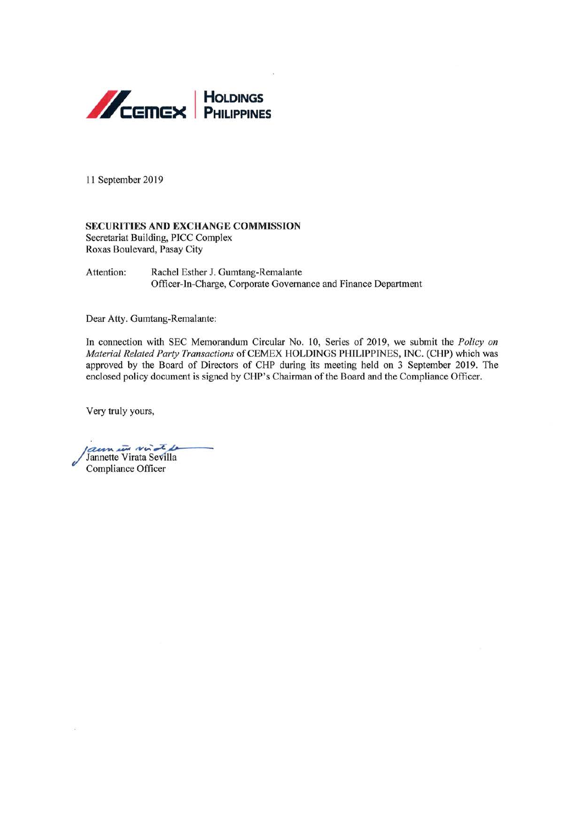

11 September 2019

#### **SECURITIES AND EXCHANGE COMMISSION**

Secretariat Building, PICC Complex Roxas Boulevard, Pasay City

Attention: Rachel Esther J. Gumtang-Remalante Officer-In-Charge, Corporate Governance and Finance Department

Dear Atty. Gumtang-Remalante:

In connection with SEC Memorandum Circular No. 10, Series of 2019, we submit the Policy on Material Related Party Transactions of CEMEX HOLDINGS PHILIPPINES, INC. (CHP) which was approved by the Board of Directors of CHP during its meeting held on 3 September 2019. The enclosed policy document is signed by CHP's Chairman of the Board and the Compliance Officer.

Very truly yours,

aun in vite Jannette Virata Sevilla Compliance Officer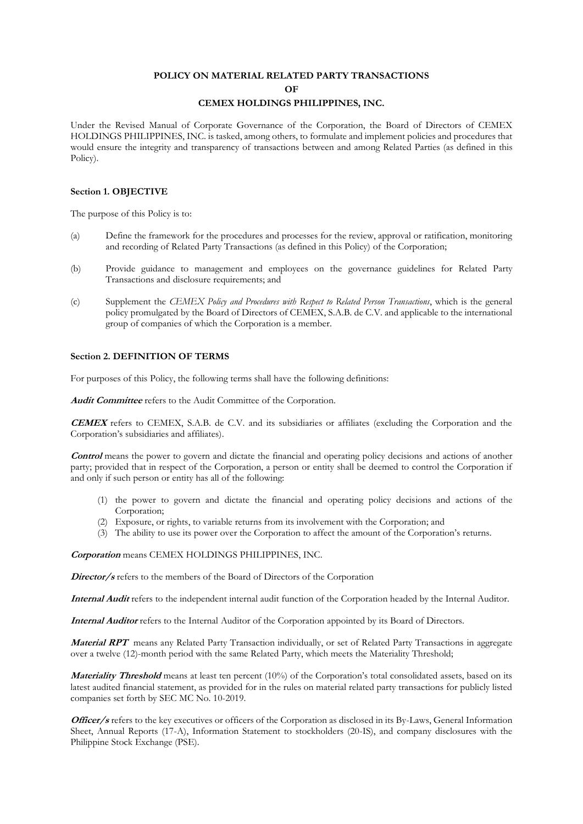#### **POLICY ON MATERIAL RELATED PARTY TRANSACTIONS OF**

### **CEMEX HOLDINGS PHILIPPINES, INC.**

Under the Revised Manual of Corporate Governance of the Corporation, the Board of Directors of CEMEX HOLDINGS PHILIPPINES, INC. is tasked, among others, to formulate and implement policies and procedures that would ensure the integrity and transparency of transactions between and among Related Parties (as defined in this Policy).

#### **Section 1. OBJECTIVE**

The purpose of this Policy is to:

- (a) Define the framework for the procedures and processes for the review, approval or ratification, monitoring and recording of Related Party Transactions (as defined in this Policy) of the Corporation;
- (b) Provide guidance to management and employees on the governance guidelines for Related Party Transactions and disclosure requirements; and
- (c) Supplement the *CEMEX Policy and Procedures with Respect to Related Person Transactions*, which is the general policy promulgated by the Board of Directors of CEMEX, S.A.B. de C.V. and applicable to the international group of companies of which the Corporation is a member.

#### **Section 2. DEFINITION OF TERMS**

For purposes of this Policy, the following terms shall have the following definitions:

**Audit Committee** refers to the Audit Committee of the Corporation.

**CEMEX** refers to CEMEX, S.A.B. de C.V. and its subsidiaries or affiliates (excluding the Corporation and the Corporation's subsidiaries and affiliates).

**Control** means the power to govern and dictate the financial and operating policy decisions and actions of another party; provided that in respect of the Corporation, a person or entity shall be deemed to control the Corporation if and only if such person or entity has all of the following:

- (1) the power to govern and dictate the financial and operating policy decisions and actions of the Corporation;
- (2) Exposure, or rights, to variable returns from its involvement with the Corporation; and
- (3) The ability to use its power over the Corporation to affect the amount of the Corporation's returns.

**Corporation** means CEMEX HOLDINGS PHILIPPINES, INC.

**Director**/s refers to the members of the Board of Directors of the Corporation

**Internal Audit** refers to the independent internal audit function of the Corporation headed by the Internal Auditor.

**Internal Auditor** refers to the Internal Auditor of the Corporation appointed by its Board of Directors.

**Material RPT** means any Related Party Transaction individually, or set of Related Party Transactions in aggregate over a twelve (12)-month period with the same Related Party, which meets the Materiality Threshold;

**Materiality Threshold** means at least ten percent (10%) of the Corporation's total consolidated assets, based on its latest audited financial statement, as provided for in the rules on material related party transactions for publicly listed companies set forth by SEC MC No. 10-2019.

**Officer/s** refers to the key executives or officers of the Corporation as disclosed in its By-Laws, General Information Sheet, Annual Reports (17-A), Information Statement to stockholders (20-IS), and company disclosures with the Philippine Stock Exchange (PSE).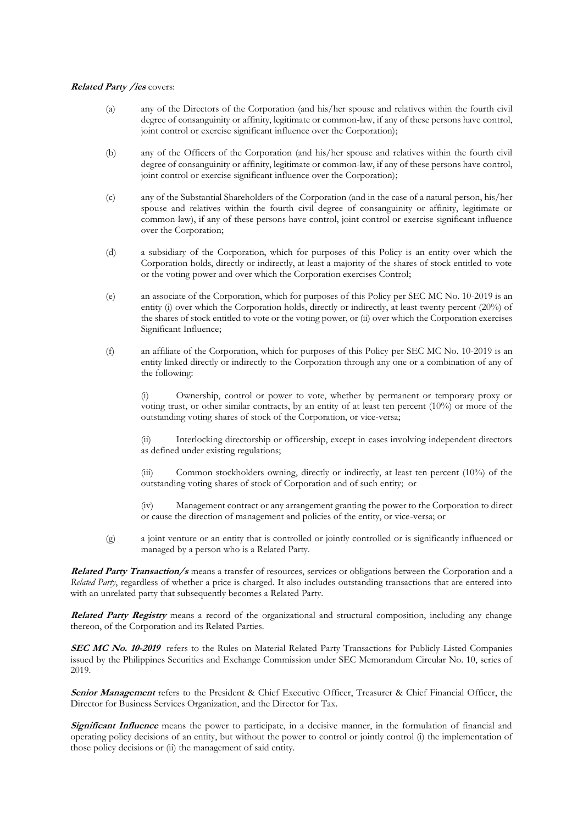#### **Related Party /ies** covers:

- (a) any of the Directors of the Corporation (and his/her spouse and relatives within the fourth civil degree of consanguinity or affinity, legitimate or common-law, if any of these persons have control, joint control or exercise significant influence over the Corporation);
- (b) any of the Officers of the Corporation (and his/her spouse and relatives within the fourth civil degree of consanguinity or affinity, legitimate or common-law, if any of these persons have control, joint control or exercise significant influence over the Corporation);
- (c) any of the Substantial Shareholders of the Corporation (and in the case of a natural person, his/her spouse and relatives within the fourth civil degree of consanguinity or affinity, legitimate or common-law), if any of these persons have control, joint control or exercise significant influence over the Corporation;
- (d) a subsidiary of the Corporation, which for purposes of this Policy is an entity over which the Corporation holds, directly or indirectly, at least a majority of the shares of stock entitled to vote or the voting power and over which the Corporation exercises Control;
- (e) an associate of the Corporation, which for purposes of this Policy per SEC MC No. 10-2019 is an entity (i) over which the Corporation holds, directly or indirectly, at least twenty percent (20%) of the shares of stock entitled to vote or the voting power, or (ii) over which the Corporation exercises Significant Influence;
- (f) an affiliate of the Corporation, which for purposes of this Policy per SEC MC No. 10-2019 is an entity linked directly or indirectly to the Corporation through any one or a combination of any of the following:

(i) Ownership, control or power to vote, whether by permanent or temporary proxy or voting trust, or other similar contracts, by an entity of at least ten percent (10%) or more of the outstanding voting shares of stock of the Corporation, or vice-versa;

(ii) Interlocking directorship or officership, except in cases involving independent directors as defined under existing regulations;

(iii) Common stockholders owning, directly or indirectly, at least ten percent (10%) of the outstanding voting shares of stock of Corporation and of such entity; or

(iv) Management contract or any arrangement granting the power to the Corporation to direct or cause the direction of management and policies of the entity, or vice-versa; or

(g) a joint venture or an entity that is controlled or jointly controlled or is significantly influenced or managed by a person who is a Related Party.

**Related Party Transaction/s** means a transfer of resources, services or obligations between the Corporation and a *Related Party*, regardless of whether a price is charged. It also includes outstanding transactions that are entered into with an unrelated party that subsequently becomes a Related Party.

**Related Party Registry** means a record of the organizational and structural composition, including any change thereon, of the Corporation and its Related Parties.

**SEC MC No. 10-2019** refers to the Rules on Material Related Party Transactions for Publicly-Listed Companies issued by the Philippines Securities and Exchange Commission under SEC Memorandum Circular No. 10, series of 2019.

**Senior Management** refers to the President & Chief Executive Officer, Treasurer & Chief Financial Officer, the Director for Business Services Organization, and the Director for Tax.

**Significant Influence** means the power to participate, in a decisive manner, in the formulation of financial and operating policy decisions of an entity, but without the power to control or jointly control (i) the implementation of those policy decisions or (ii) the management of said entity.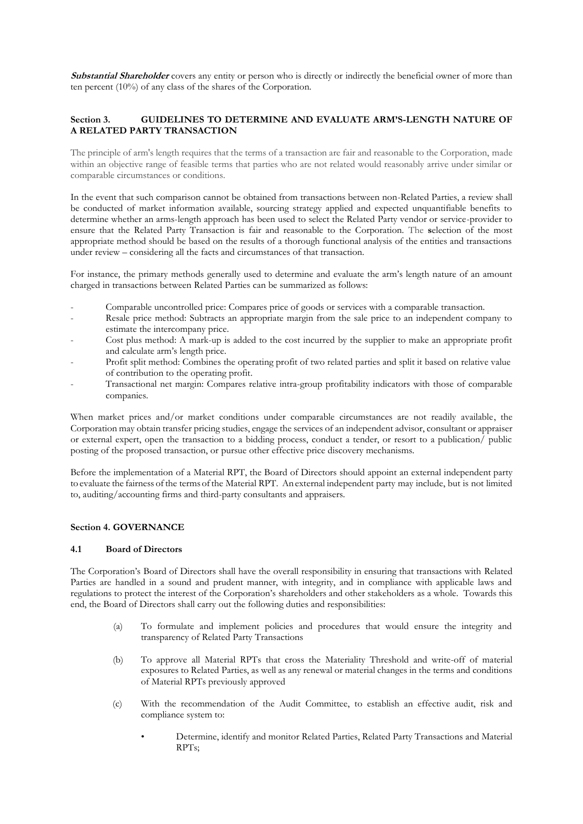**Substantial Shareholder** covers any entity or person who is directly or indirectly the beneficial owner of more than ten percent (10%) of any class of the shares of the Corporation.

#### **Section 3. GUIDELINES TO DETERMINE AND EVALUATE ARM'S-LENGTH NATURE OF A RELATED PARTY TRANSACTION**

The principle of arm's length requires that the terms of a transaction are fair and reasonable to the Corporation, made within an objective range of feasible terms that parties who are not related would reasonably arrive under similar or comparable circumstances or conditions.

In the event that such comparison cannot be obtained from transactions between non-Related Parties, a review shall be conducted of market information available, sourcing strategy applied and expected unquantifiable benefits to determine whether an arms-length approach has been used to select the Related Party vendor or service-provider to ensure that the Related Party Transaction is fair and reasonable to the Corporation. The **s**election of the most appropriate method should be based on the results of a thorough functional analysis of the entities and transactions under review – considering all the facts and circumstances of that transaction.

For instance, the primary methods generally used to determine and evaluate the arm's length nature of an amount charged in transactions between Related Parties can be summarized as follows:

- Comparable uncontrolled price: Compares price of goods or services with a comparable transaction.
- Resale price method: Subtracts an appropriate margin from the sale price to an independent company to estimate the intercompany price.
- Cost plus method: A mark-up is added to the cost incurred by the supplier to make an appropriate profit and calculate arm's length price.
- Profit split method: Combines the operating profit of two related parties and split it based on relative value of contribution to the operating profit.
- Transactional net margin: Compares relative intra-group profitability indicators with those of comparable companies.

When market prices and/or market conditions under comparable circumstances are not readily available, the Corporation may obtain transfer pricing studies, engage the services of an independent advisor, consultant or appraiser or external expert, open the transaction to a bidding process, conduct a tender, or resort to a publication/ public posting of the proposed transaction, or pursue other effective price discovery mechanisms.

Before the implementation of a Material RPT, the Board of Directors should appoint an external independent party to evaluate the fairness ofthe terms ofthe Material RPT. An external independent party may include, but is not limited to, auditing/accounting firms and third-party consultants and appraisers.

#### **Section 4. GOVERNANCE**

#### **4.1 Board of Directors**

The Corporation's Board of Directors shall have the overall responsibility in ensuring that transactions with Related Parties are handled in a sound and prudent manner, with integrity, and in compliance with applicable laws and regulations to protect the interest of the Corporation's shareholders and other stakeholders as a whole. Towards this end, the Board of Directors shall carry out the following duties and responsibilities:

- (a) To formulate and implement policies and procedures that would ensure the integrity and transparency of Related Party Transactions
- (b) To approve all Material RPTs that cross the Materiality Threshold and write-off of material exposures to Related Parties, as well as any renewal or material changes in the terms and conditions of Material RPTs previously approved
- (c) With the recommendation of the Audit Committee, to establish an effective audit, risk and compliance system to:
	- Determine, identify and monitor Related Parties, Related Party Transactions and Material RPTs;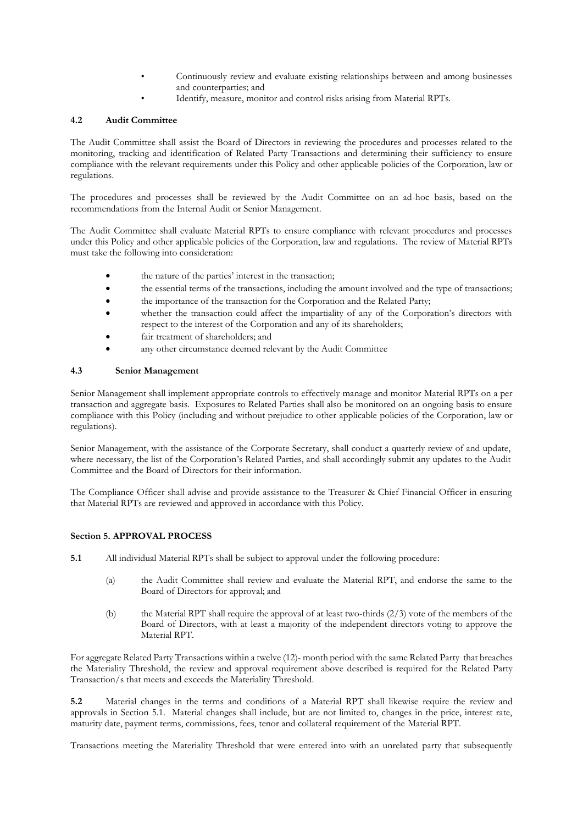- Continuously review and evaluate existing relationships between and among businesses and counterparties; and
	- Identify, measure, monitor and control risks arising from Material RPTs.

#### **4.2 Audit Committee**

The Audit Committee shall assist the Board of Directors in reviewing the procedures and processes related to the monitoring, tracking and identification of Related Party Transactions and determining their sufficiency to ensure compliance with the relevant requirements under this Policy and other applicable policies of the Corporation, law or regulations.

The procedures and processes shall be reviewed by the Audit Committee on an ad-hoc basis, based on the recommendations from the Internal Audit or Senior Management.

The Audit Committee shall evaluate Material RPTs to ensure compliance with relevant procedures and processes under this Policy and other applicable policies of the Corporation, law and regulations. The review of Material RPTs must take the following into consideration:

- the nature of the parties' interest in the transaction;
- the essential terms of the transactions, including the amount involved and the type of transactions;
- the importance of the transaction for the Corporation and the Related Party;
- whether the transaction could affect the impartiality of any of the Corporation's directors with respect to the interest of the Corporation and any of its shareholders;
- fair treatment of shareholders; and
- any other circumstance deemed relevant by the Audit Committee

#### **4.3 Senior Management**

Senior Management shall implement appropriate controls to effectively manage and monitor Material RPTs on a per transaction and aggregate basis. Exposures to Related Parties shall also be monitored on an ongoing basis to ensure compliance with this Policy (including and without prejudice to other applicable policies of the Corporation, law or regulations).

Senior Management, with the assistance of the Corporate Secretary, shall conduct a quarterly review of and update, where necessary, the list of the Corporation's Related Parties, and shall accordingly submit any updates to the Audit Committee and the Board of Directors for their information.

The Compliance Officer shall advise and provide assistance to the Treasurer & Chief Financial Officer in ensuring that Material RPTs are reviewed and approved in accordance with this Policy.

#### **Section 5. APPROVAL PROCESS**

- **5.1** All individual Material RPTs shall be subject to approval under the following procedure:
	- (a) the Audit Committee shall review and evaluate the Material RPT, and endorse the same to the Board of Directors for approval; and
	- (b) the Material RPT shall require the approval of at least two-thirds (2/3) vote of the members of the Board of Directors, with at least a majority of the independent directors voting to approve the Material RPT.

For aggregate Related Party Transactions within a twelve (12)- month period with the same Related Party that breaches the Materiality Threshold, the review and approval requirement above described is required for the Related Party Transaction/s that meets and exceeds the Materiality Threshold.

**5.2** Material changes in the terms and conditions of a Material RPT shall likewise require the review and approvals in Section 5.1. Material changes shall include, but are not limited to, changes in the price, interest rate, maturity date, payment terms, commissions, fees, tenor and collateral requirement of the Material RPT.

Transactions meeting the Materiality Threshold that were entered into with an unrelated party that subsequently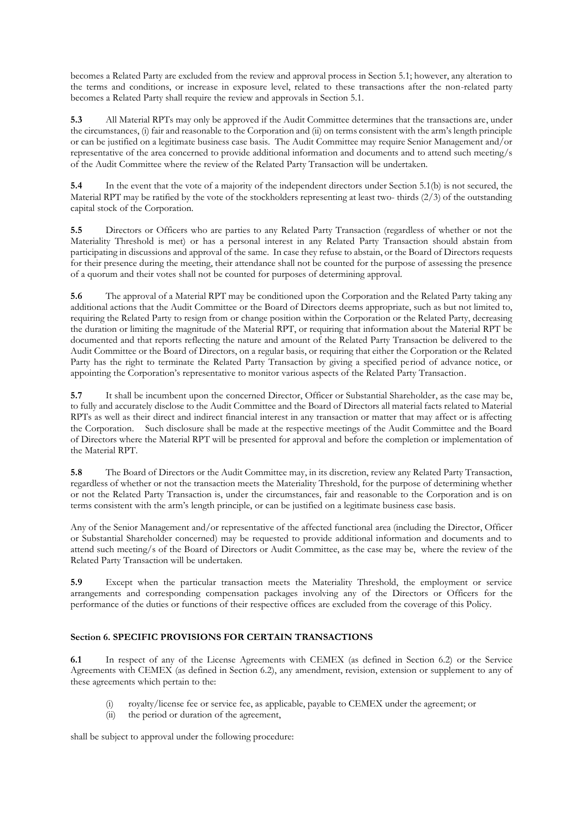becomes a Related Party are excluded from the review and approval process in Section 5.1; however, any alteration to the terms and conditions, or increase in exposure level, related to these transactions after the non-related party becomes a Related Party shall require the review and approvals in Section 5.1.

**5.3** All Material RPTs may only be approved if the Audit Committee determines that the transactions are, under the circumstances, (i) fair and reasonable to the Corporation and (ii) on terms consistent with the arm's length principle or can be justified on a legitimate business case basis. The Audit Committee may require Senior Management and/or representative of the area concerned to provide additional information and documents and to attend such meeting/s of the Audit Committee where the review of the Related Party Transaction will be undertaken.

**5.4** In the event that the vote of a majority of the independent directors under Section 5.1(b) is not secured, the Material RPT may be ratified by the vote of the stockholders representing at least two- thirds (2/3) of the outstanding capital stock of the Corporation.

**5.5** Directors or Officers who are parties to any Related Party Transaction (regardless of whether or not the Materiality Threshold is met) or has a personal interest in any Related Party Transaction should abstain from participating in discussions and approval of the same. In case they refuse to abstain, or the Board of Directors requests for their presence during the meeting, their attendance shall not be counted for the purpose of assessing the presence of a quorum and their votes shall not be counted for purposes of determining approval.

**5.6** The approval of a Material RPT may be conditioned upon the Corporation and the Related Party taking any additional actions that the Audit Committee or the Board of Directors deems appropriate, such as but not limited to, requiring the Related Party to resign from or change position within the Corporation or the Related Party, decreasing the duration or limiting the magnitude of the Material RPT, or requiring that information about the Material RPT be documented and that reports reflecting the nature and amount of the Related Party Transaction be delivered to the Audit Committee or the Board of Directors, on a regular basis, or requiring that either the Corporation or the Related Party has the right to terminate the Related Party Transaction by giving a specified period of advance notice, or appointing the Corporation's representative to monitor various aspects of the Related Party Transaction.

**5.7** It shall be incumbent upon the concerned Director, Officer or Substantial Shareholder, as the case may be, to fully and accurately disclose to the Audit Committee and the Board of Directors all material facts related to Material RPTs as well as their direct and indirect financial interest in any transaction or matter that may affect or is affecting the Corporation. Such disclosure shall be made at the respective meetings of the Audit Committee and the Board of Directors where the Material RPT will be presented for approval and before the completion or implementation of the Material RPT.

**5.8** The Board of Directors or the Audit Committee may, in its discretion, review any Related Party Transaction, regardless of whether or not the transaction meets the Materiality Threshold, for the purpose of determining whether or not the Related Party Transaction is, under the circumstances, fair and reasonable to the Corporation and is on terms consistent with the arm's length principle, or can be justified on a legitimate business case basis.

Any of the Senior Management and/or representative of the affected functional area (including the Director, Officer or Substantial Shareholder concerned) may be requested to provide additional information and documents and to attend such meeting/s of the Board of Directors or Audit Committee, as the case may be, where the review of the Related Party Transaction will be undertaken.

**5.9** Except when the particular transaction meets the Materiality Threshold, the employment or service arrangements and corresponding compensation packages involving any of the Directors or Officers for the performance of the duties or functions of their respective offices are excluded from the coverage of this Policy.

### **Section 6. SPECIFIC PROVISIONS FOR CERTAIN TRANSACTIONS**

**6.1** In respect of any of the License Agreements with CEMEX (as defined in Section 6.2) or the Service Agreements with CEMEX (as defined in Section 6.2), any amendment, revision, extension or supplement to any of these agreements which pertain to the:

- (i) royalty/license fee or service fee, as applicable, payable to CEMEX under the agreement; or
- (ii) the period or duration of the agreement,

shall be subject to approval under the following procedure: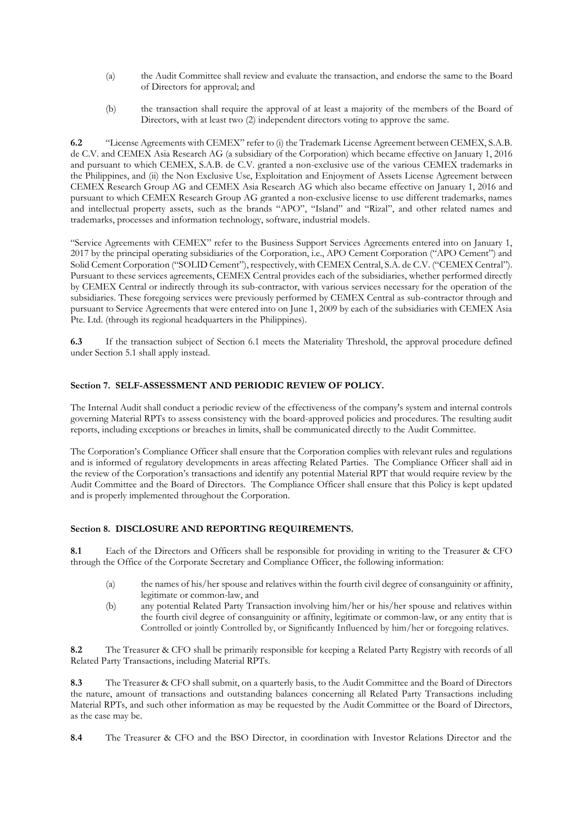- (a) the Audit Committee shall review and evaluate the transaction, and endorse the same to the Board of Directors for approval; and
- (b) the transaction shall require the approval of at least a majority of the members of the Board of Directors, with at least two (2) independent directors voting to approve the same.

**6.2** "License Agreements with CEMEX" refer to (i) the Trademark License Agreement between CEMEX, S.A.B. de C.V. and CEMEX Asia Research AG (a subsidiary of the Corporation) which became effective on January 1, 2016 and pursuant to which CEMEX, S.A.B. de C.V. granted a non-exclusive use of the various CEMEX trademarks in the Philippines, and (ii) the Non Exclusive Use, Exploitation and Enjoyment of Assets License Agreement between CEMEX Research Group AG and CEMEX Asia Research AG which also became effective on January 1, 2016 and pursuant to which CEMEX Research Group AG granted a non-exclusive license to use different trademarks, names and intellectual property assets, such as the brands "APO", "Island" and "Rizal", and other related names and trademarks, processes and information technology, software, industrial models.

"Service Agreements with CEMEX" refer to the Business Support Services Agreements entered into on January 1, 2017 by the principal operating subsidiaries of the Corporation, i.e., APO Cement Corporation ("APO Cement") and Solid Cement Corporation ("SOLID Cement"), respectively, with CEMEX Central, S.A. de C.V. ("CEMEX Central"). Pursuant to these services agreements, CEMEX Central provides each of the subsidiaries, whether performed directly by CEMEX Central or indirectly through its sub-contractor, with various services necessary for the operation of the subsidiaries. These foregoing services were previously performed by CEMEX Central as sub-contractor through and pursuant to Service Agreements that were entered into on June 1, 2009 by each of the subsidiaries with CEMEX Asia Pte. Ltd. (through its regional headquarters in the Philippines).

**6.3** If the transaction subject of Section 6.1 meets the Materiality Threshold, the approval procedure defined under Section 5.1 shall apply instead.

#### **Section 7. SELF-ASSESSMENT AND PERIODIC REVIEW OF POLICY.**

The Internal Audit shall conduct a periodic review of the effectiveness of the company's system and internal controls governing Material RPTs to assess consistency with the board-approved policies and procedures. The resulting audit reports, including exceptions or breaches in limits, shall be communicated directly to the Audit Committee.

The Corporation's Compliance Officer shall ensure that the Corporation complies with relevant rules and regulations and is informed of regulatory developments in areas affecting Related Parties. The Compliance Officer shall aid in the review of the Corporation's transactions and identify any potential Material RPT that would require review by the Audit Committee and the Board of Directors. The Compliance Officer shall ensure that this Policy is kept updated and is properly implemented throughout the Corporation.

#### **Section 8. DISCLOSURE AND REPORTING REQUIREMENTS.**

**8.1** Each of the Directors and Officers shall be responsible for providing in writing to the Treasurer & CFO through the Office of the Corporate Secretary and Compliance Officer, the following information:

- (a) the names of his/her spouse and relatives within the fourth civil degree of consanguinity or affinity, legitimate or common-law, and
- (b) any potential Related Party Transaction involving him/her or his/her spouse and relatives within the fourth civil degree of consanguinity or affinity, legitimate or common-law, or any entity that is Controlled or jointly Controlled by, or Significantly Influenced by him/her or foregoing relatives.

**8.2** The Treasurer & CFO shall be primarily responsible for keeping a Related Party Registry with records of all Related Party Transactions, including Material RPTs.

**8.3** The Treasurer & CFO shall submit, on a quarterly basis, to the Audit Committee and the Board of Directors the nature, amount of transactions and outstanding balances concerning all Related Party Transactions including Material RPTs, and such other information as may be requested by the Audit Committee or the Board of Directors, as the case may be.

**8.4** The Treasurer & CFO and the BSO Director, in coordination with Investor Relations Director and the